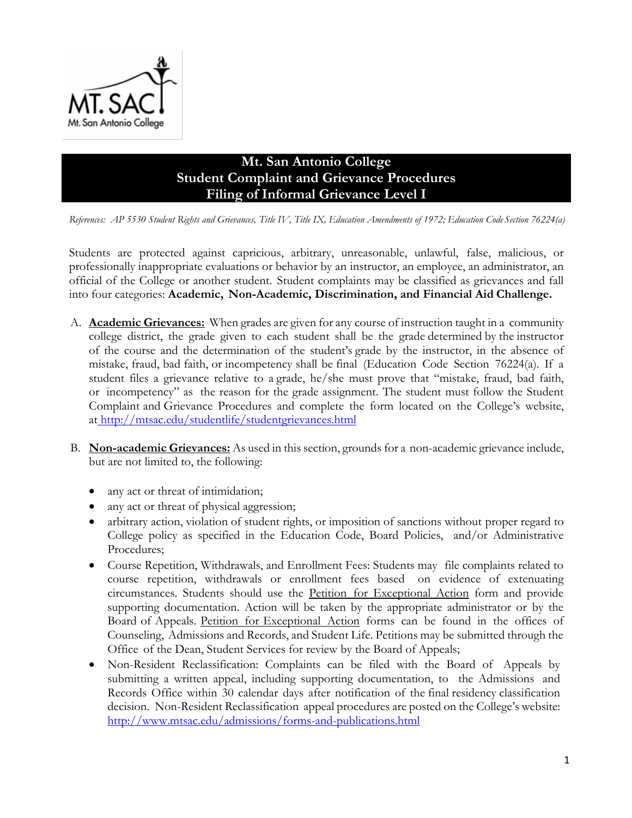

## **Mt. San Antonio College Student Complaint and Grievance Procedures Filing of Informal Grievance Level I**

*References: AP 5530 Student Rights and Grievances, Title IV, Title IX, Education Amendments of 1972; Education Code Section 76224(a)*

Students are protected against capricious, arbitrary, unreasonable, unlawful, false, malicious, or professionally inappropriate evaluations or behavior by an instructor, an employee, an administrator, an official of the College or another student. Student complaints may be classified as grievances and fall into four categories: **Academic, Non-Academic, Discrimination, and Financial Aid Challenge.**

- A. **Academic Grievances:** When grades are given for any course of instruction taught in a community college district, the grade given to each student shall be the grade determined by the instructor of the course and the determination of the student's grade by the instructor, in the absence of mistake, fraud, bad faith, or incompetency shall be final (Education Code Section 76224(a). If a student files a grievance relative to a grade, he/she must prove that "mistake, fraud, bad faith, or incompetency" as the reason for the grade assignment. The student must follow the Student Complaint and Grievance Procedures and complete the form located on the College's website, at <http://mtsac.edu/studentlife/studentgrievances.html>
- B. **Non-academic Grievances:** As used in this section, grounds for a non-academic grievance include, but are not limited to, the following:
	- any act or threat of intimidation;
	- any act or threat of physical aggression;
	- arbitrary action, violation of student rights, or imposition of sanctions without proper regard to College policy as specified in the Education Code, Board Policies, and/or Administrative Procedures;
	- Course Repetition, Withdrawals, and Enrollment Fees: Students may file complaints related to course repetition, withdrawals or enrollment fees based on evidence of extenuating circumstances. Students should use the Petition for Exceptional Action form and provide supporting documentation. Action will be taken by the appropriate administrator or by the Board of Appeals. Petition for Exceptional Action forms can be found in the offices of Counseling, Admissions and Records, and Student Life. Petitions may be submitted through the Office of the Dean, Student Services for review by the Board of Appeals;
	- Non-Resident Reclassification: Complaints can be filed with the Board of Appeals by submitting a written appeal, including supporting documentation, to the Admissions and Records Office within 30 calendar days after notification of the final residency classification decision. Non-Resident Reclassification appeal procedures are posted on the College's website: <http://www.mtsac.edu/admissions/forms-and-publications.html>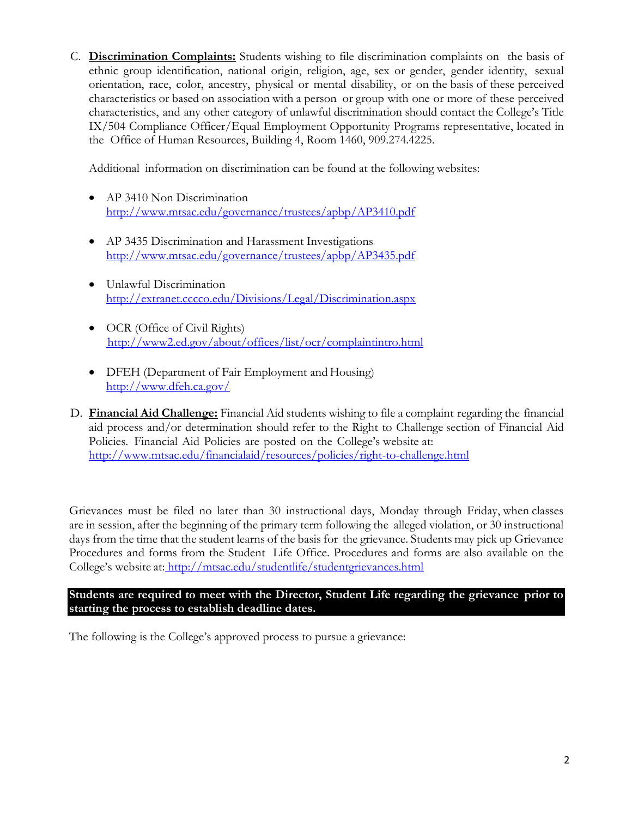C. **Discrimination Complaints:** Students wishing to file discrimination complaints on the basis of ethnic group identification, national origin, religion, age, sex or gender, gender identity, sexual orientation, race, color, ancestry, physical or mental disability, or on the basis of these perceived characteristics or based on association with a person or group with one or more of these perceived characteristics, and any other category of unlawful discrimination should contact the College's Title IX/504 Compliance Officer/Equal Employment Opportunity Programs representative, located in the Office of Human Resources, Building 4, Room 1460, 909.274.4225.

Additional information on discrimination can be found at the following websites:

- AP 3410 No[n](http://www.mtsac.edu/governance/trustees/apbp/AP3410.pdf) Discrimination <http://www.mtsac.edu/governance/trustees/apbp/AP3410.pdf>
- AP 3435 Discrimination and Harassment Investigation[s](http://www.mtsac.edu/governance/trustees/apbp/AP3435.pdf) <http://www.mtsac.edu/governance/trustees/apbp/AP3435.pdf>
- Unlawful Discriminatio[n](http://extranet.cccco.edu/Divisions/Legal/Discrimination.aspx) <http://extranet.cccco.edu/Divisions/Legal/Discrimination.aspx>
- OCR (Office of Civil Rights[\)](http://www2.ed.gov/about/offices/list/ocr/complaintintro.html) <http://www2.ed.gov/about/offices/list/ocr/complaintintro.html>
- DFEH (Department of Fair Employment and Housing[\)](http://www.dfeh.ca.gov/) <http://www.dfeh.ca.gov/>
- D. **Financial Aid Challenge:** Financial Aid students wishing to file a complaint regarding the financial aid process and/or determination should refer to the Right to Challenge section of Financial Aid Policies. Financial Aid Policies are posted on the College's website at: <http://www.mtsac.edu/financialaid/resources/policies/right-to-challenge.html>

Grievances must be filed no later than 30 instructional days, Monday through Friday, when classes are in session, after the beginning of the primary term following the alleged violation, or 30 instructional days from the time that the student learns of the basis for the grievance. Students may pick up Grievance Procedures and forms from the Student Life Office. Procedures and forms are also available on the College's website at: <http://mtsac.edu/studentlife/studentgrievances.html>

**Students are required to meet with the Director, Student Life regarding the grievance prior to starting the process to establish deadline dates.** 

The following is the College's approved process to pursue a grievance: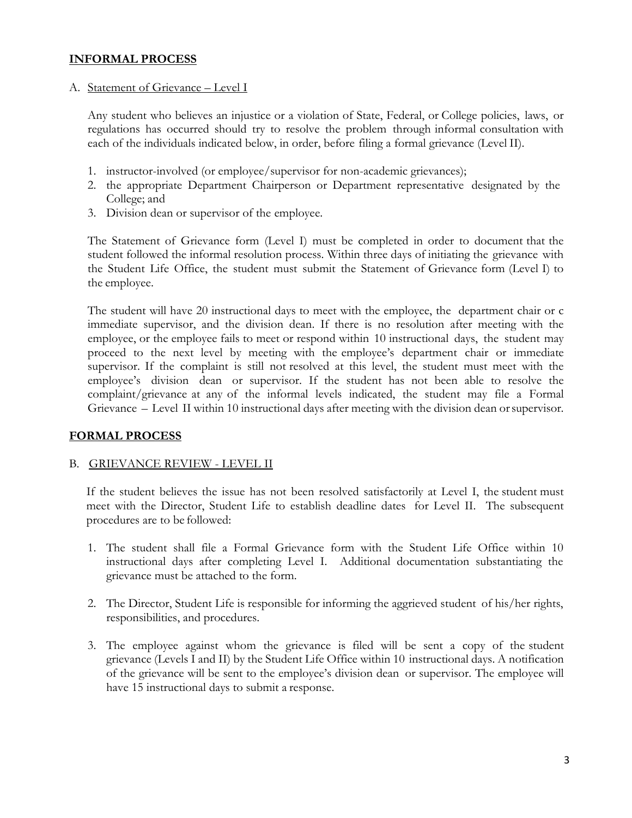#### **INFORMAL PROCESS**

#### A. Statement of Grievance – Level I

Any student who believes an injustice or a violation of State, Federal, or College policies, laws, or regulations has occurred should try to resolve the problem through informal consultation with each of the individuals indicated below, in order, before filing a formal grievance (Level II).

- 1. instructor-involved (or employee/supervisor for non-academic grievances);
- 2. the appropriate Department Chairperson or Department representative designated by the College; and
- 3. Division dean or supervisor of the employee.

The Statement of Grievance form (Level I) must be completed in order to document that the student followed the informal resolution process. Within three days of initiating the grievance with the Student Life Office, the student must submit the Statement of Grievance form (Level I) to the employee.

The student will have 20 instructional days to meet with the employee, the department chair or c immediate supervisor, and the division dean. If there is no resolution after meeting with the employee, or the employee fails to meet or respond within 10 instructional days, the student may proceed to the next level by meeting with the employee's department chair or immediate supervisor. If the complaint is still not resolved at this level, the student must meet with the employee's division dean or supervisor. If the student has not been able to resolve the complaint/grievance at any of the informal levels indicated, the student may file a Formal Grievance – Level II within 10 instructional days after meeting with the division dean orsupervisor.

#### **FORMAL PROCESS**

#### B. GRIEVANCE REVIEW - LEVEL II

If the student believes the issue has not been resolved satisfactorily at Level I, the student must meet with the Director, Student Life to establish deadline dates for Level II. The subsequent procedures are to be followed:

- 1. The student shall file a Formal Grievance form with the Student Life Office within 10 instructional days after completing Level I. Additional documentation substantiating the grievance must be attached to the form.
- 2. The Director, Student Life is responsible for informing the aggrieved student of his/her rights, responsibilities, and procedures.
- 3. The employee against whom the grievance is filed will be sent a copy of the student grievance (Levels I and II) by the Student Life Office within 10 instructional days. A notification of the grievance will be sent to the employee's division dean or supervisor. The employee will have 15 instructional days to submit a response.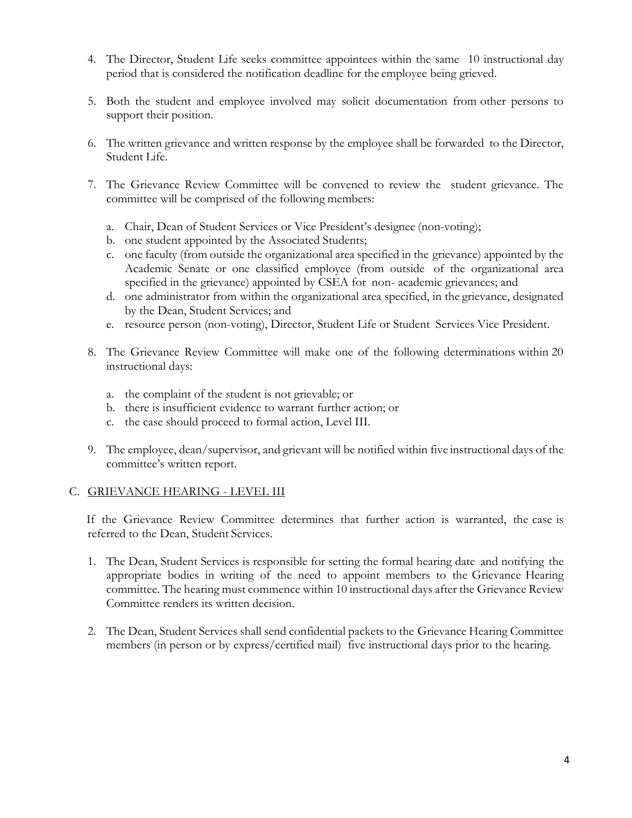- 4. The Director, Student Life seeks committee appointees within the same 10 instructional day period that is considered the notification deadline for the employee being grieved.
- 5. Both the student and employee involved may solicit documentation from other persons to support their position.
- 6. The written grievance and written response by the employee shall be forwarded to the Director, Student Life.
- 7. The Grievance Review Committee will be convened to review the student grievance. The committee will be comprised of the following members:
	- a. Chair, Dean of Student Services or Vice President's designee (non-voting);
	- b. one student appointed by the Associated Students;
	- c. one faculty (from outside the organizational area specified in the grievance) appointed by the Academic Senate or one classified employee (from outside of the organizational area specified in the grievance) appointed by CSEA for non- academic grievances; and
	- d. one administrator from within the organizational area specified, in the grievance, designated by the Dean, Student Services; and
	- e. resource person (non-voting), Director, Student Life or Student Services Vice President.
- 8. The Grievance Review Committee will make one of the following determinations within 20 instructional days:
	- a. the complaint of the student is not grievable; or
	- b. there is insufficient evidence to warrant further action; or
	- c. the case should proceed to formal action, Level III.
- 9. The employee, dean/supervisor, and grievant will be notified within five instructional days of the committee's written report.

#### C. GRIEVANCE HEARING - LEVEL III

If the Grievance Review Committee determines that further action is warranted, the case is referred to the Dean, Student Services.

- 1. The Dean, Student Services is responsible for setting the formal hearing date and notifying the appropriate bodies in writing of the need to appoint members to the Grievance Hearing committee. The hearing must commence within 10 instructional days after the Grievance Review Committee renders its written decision.
- 2. The Dean, Student Services shall send confidential packets to the Grievance Hearing Committee members (in person or by express/certified mail) five instructional days prior to the hearing.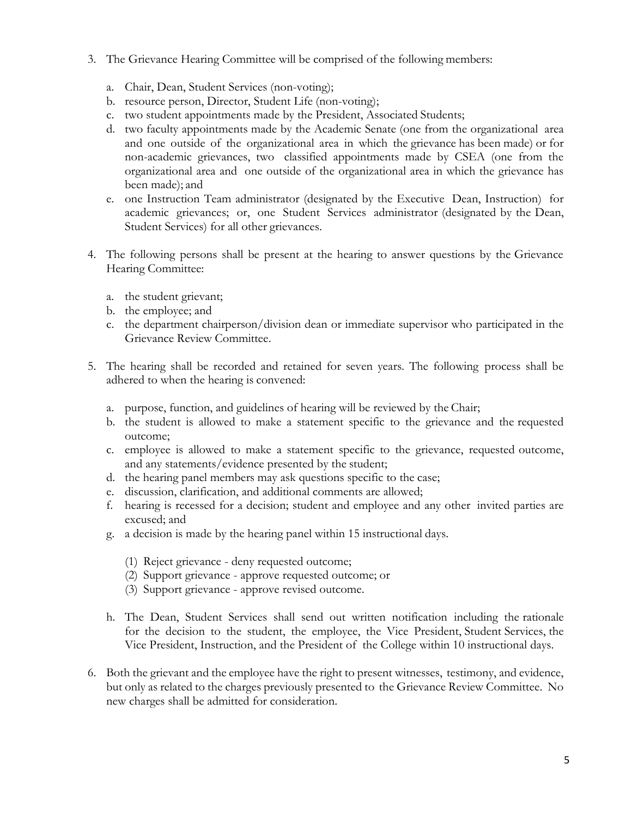- 3. The Grievance Hearing Committee will be comprised of the following members:
	- a. Chair, Dean, Student Services (non-voting);
	- b. resource person, Director, Student Life (non-voting);
	- c. two student appointments made by the President, Associated Students;
	- d. two faculty appointments made by the Academic Senate (one from the organizational area and one outside of the organizational area in which the grievance has been made) or for non-academic grievances, two classified appointments made by CSEA (one from the organizational area and one outside of the organizational area in which the grievance has been made); and
	- e. one Instruction Team administrator (designated by the Executive Dean, Instruction) for academic grievances; or, one Student Services administrator (designated by the Dean, Student Services) for all other grievances.
- 4. The following persons shall be present at the hearing to answer questions by the Grievance Hearing Committee:
	- a. the student grievant;
	- b. the employee; and
	- c. the department chairperson/division dean or immediate supervisor who participated in the Grievance Review Committee.
- 5. The hearing shall be recorded and retained for seven years. The following process shall be adhered to when the hearing is convened:
	- a. purpose, function, and guidelines of hearing will be reviewed by the Chair;
	- b. the student is allowed to make a statement specific to the grievance and the requested outcome;
	- c. employee is allowed to make a statement specific to the grievance, requested outcome, and any statements/evidence presented by the student;
	- d. the hearing panel members may ask questions specific to the case;
	- e. discussion, clarification, and additional comments are allowed;
	- f. hearing is recessed for a decision; student and employee and any other invited parties are excused; and
	- g. a decision is made by the hearing panel within 15 instructional days.
		- (1) Reject grievance deny requested outcome;
		- (2) Support grievance approve requested outcome; or
		- (3) Support grievance approve revised outcome.
	- h. The Dean, Student Services shall send out written notification including the rationale for the decision to the student, the employee, the Vice President, Student Services, the Vice President, Instruction, and the President of the College within 10 instructional days.
- 6. Both the grievant and the employee have the right to present witnesses, testimony, and evidence, but only as related to the charges previously presented to the Grievance Review Committee. No new charges shall be admitted for consideration.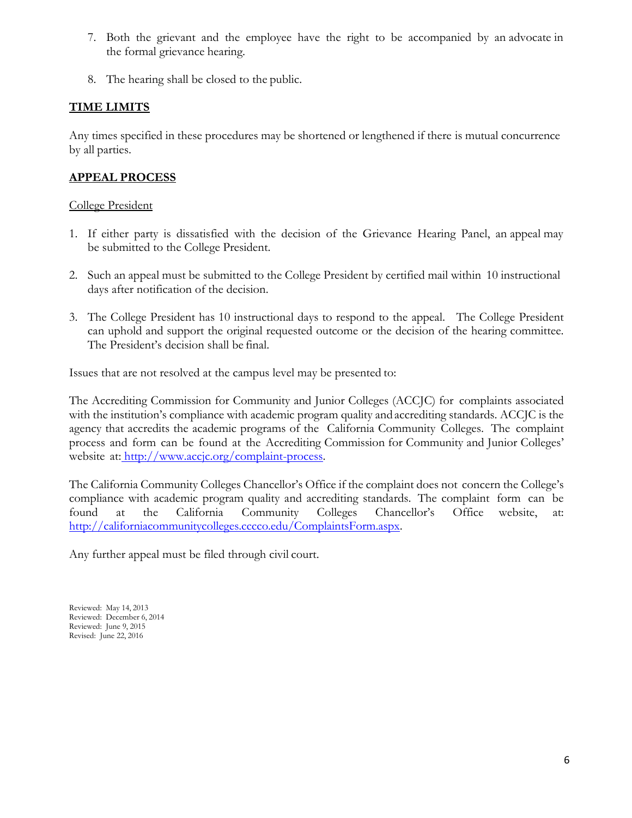- 7. Both the grievant and the employee have the right to be accompanied by an advocate in the formal grievance hearing.
- 8. The hearing shall be closed to the public.

### **TIME LIMITS**

Any times specified in these procedures may be shortened or lengthened if there is mutual concurrence by all parties.

## **APPEAL PROCESS**

#### College President

- 1. If either party is dissatisfied with the decision of the Grievance Hearing Panel, an appeal may be submitted to the College President.
- 2. Such an appeal must be submitted to the College President by certified mail within 10 instructional days after notification of the decision.
- 3. The College President has 10 instructional days to respond to the appeal. The College President can uphold and support the original requested outcome or the decision of the hearing committee. The President's decision shall be final.

Issues that are not resolved at the campus level may be presented to:

The Accrediting Commission for Community and Junior Colleges (ACCJC) for complaints associated with the institution's compliance with academic program quality and accrediting standards. ACCJC is the agency that accredits the academic programs of the California Community Colleges. The complaint process and form can be found at the Accrediting Commission for Community and Junior Colleges' website at: [http://www.accjc.org/complaint-process.](http://www.accjc.org/complaint-process)

The California Community Colleges Chancellor's Office if the complaint does not concern the College's compliance with academic program quality and accrediting standards. The complaint form can be found at the California Community Colleges Chancellor's Office website, at: [http://californiacommunitycolleges.cccco.edu/ComplaintsForm.aspx.](http://californiacommunitycolleges.cccco.edu/ComplaintsForm.aspx)

Any further appeal must be filed through civil court.

Reviewed: May 14, 2013 Reviewed: December 6, 2014 Reviewed: June 9, 2015 Revised: June 22, 2016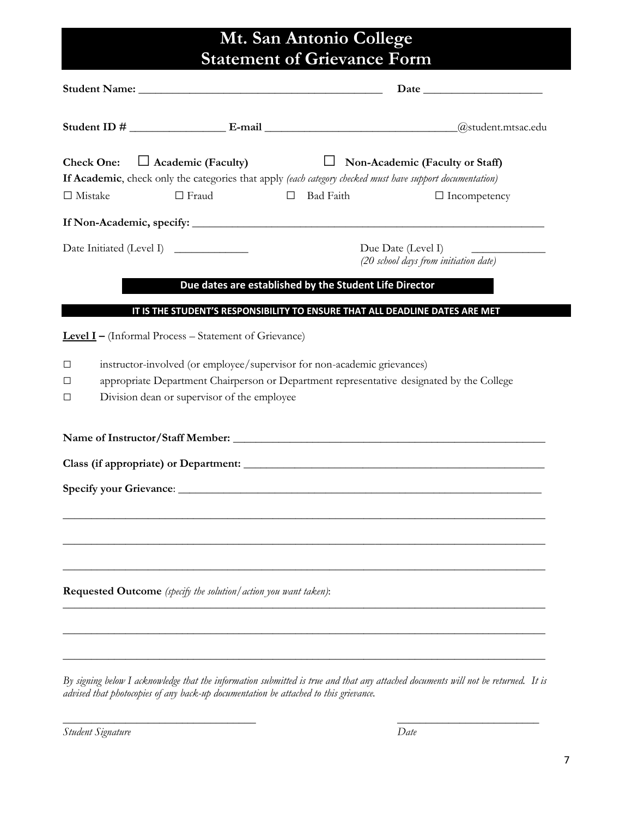# **Mt. San Antonio College Statement of Grievance Form**

|                                            |                                                                                                                         |                                                        | $\alpha$ student.mtsac.edu                                                                                                                                          |
|--------------------------------------------|-------------------------------------------------------------------------------------------------------------------------|--------------------------------------------------------|---------------------------------------------------------------------------------------------------------------------------------------------------------------------|
| <b>Check One:</b><br>$\Box$<br><br>Mistake | $\Box$ Academic (Faculty)<br>$\Box$ Fraud                                                                               | <b>Bad Faith</b><br>$\Box$                             | Non-Academic (Faculty or Staff)<br>If Academic, check only the categories that apply (each category checked must have support documentation)<br>$\Box$ Incompetency |
|                                            |                                                                                                                         |                                                        |                                                                                                                                                                     |
|                                            |                                                                                                                         |                                                        | Due Date (Level I)<br><u> 1989 - Johann Stein, mars and de Brandenburg (b. 1989)</u><br>(20 school days from initiation date)                                       |
|                                            |                                                                                                                         | Due dates are established by the Student Life Director |                                                                                                                                                                     |
|                                            |                                                                                                                         |                                                        | IT IS THE STUDENT'S RESPONSIBILITY TO ENSURE THAT ALL DEADLINE DATES ARE MET                                                                                        |
|                                            | <b>Level I</b> - (Informal Process - Statement of Grievance)                                                            |                                                        |                                                                                                                                                                     |
| □<br>⊔<br>$\Box$                           | instructor-involved (or employee/supervisor for non-academic grievances)<br>Division dean or supervisor of the employee |                                                        | appropriate Department Chairperson or Department representative designated by the College                                                                           |
|                                            |                                                                                                                         |                                                        |                                                                                                                                                                     |
|                                            |                                                                                                                         |                                                        |                                                                                                                                                                     |
|                                            |                                                                                                                         |                                                        |                                                                                                                                                                     |
|                                            |                                                                                                                         |                                                        |                                                                                                                                                                     |
|                                            |                                                                                                                         |                                                        |                                                                                                                                                                     |
|                                            |                                                                                                                         |                                                        |                                                                                                                                                                     |
|                                            | Requested Outcome (specify the solution/action you want taken):                                                         |                                                        |                                                                                                                                                                     |
|                                            |                                                                                                                         |                                                        |                                                                                                                                                                     |
|                                            |                                                                                                                         |                                                        |                                                                                                                                                                     |
|                                            |                                                                                                                         |                                                        |                                                                                                                                                                     |

*By signing below I acknowledge that the information submitted is true and that any attached documents will not be returned. It is advised that photocopies of any back-up documentation be attached to this grievance.*

\_\_\_\_\_\_\_\_\_\_\_\_\_\_\_\_\_\_\_\_\_\_\_\_\_\_\_\_\_\_\_\_\_\_ \_\_\_\_\_\_\_\_\_\_\_\_\_\_\_\_\_\_\_\_\_\_\_\_\_

*Student Signature Date*